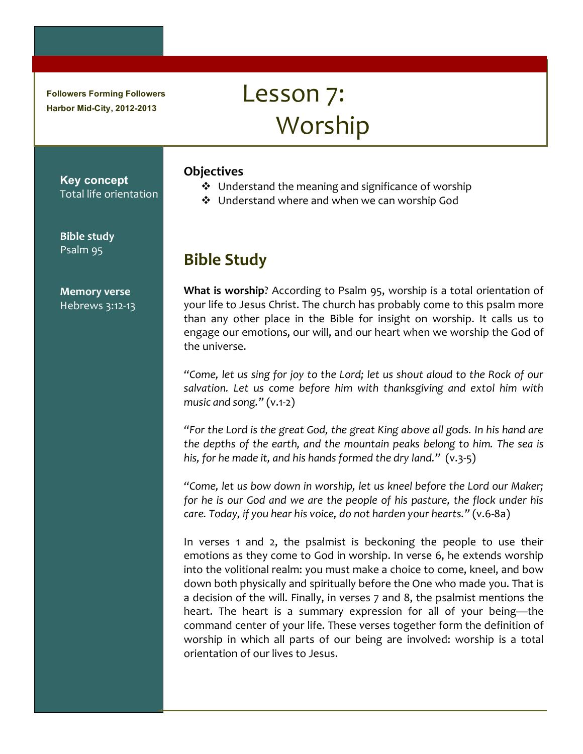**Followers Forming Followers Harbor Mid-City, 2012-2013**

# Lesson 7: Worship

#### **Objectives**

- $\cdot$  Understand the meaning and significance of worship
- ❖ Understand where and when we can worship God

## **Bible!Study**

**What is worship**? According to Psalm 95, worship is a total orientation of your life to Jesus Christ. The church has probably come to this psalm more than any other place in the Bible for insight on worship. It calls us to engage our emotions, our will, and our heart when we worship the God of the universe.

"Come, let us sing for joy to the Lord; let us shout aloud to the Rock of our *salvation.' Let' us' come' before' him' with' thanksgiving' and' extol' him' with'* music and song." (v.1-2)

*"For'the'Lord'is'the'great'God,'the'great'King'above'all'gods. In'his'hand'are'* the depths of the earth, and the mountain peaks belong to him. The sea is his, for he made it, and his hands formed the dry land." (v.3-5)

*"Come,'let'us'bow'down'in'worship,'let'us'kneel'before'the'Lord'our'Maker;'* for he is our God and we are the people of his pasture, the flock under his *care.'Today,'if'you'hear'his'voice,'do'not'harden'your'hearts."'*(v.688a)

In verses 1 and 2, the psalmist is beckoning the people to use their emotions as they come to God in worship. In verse 6, he extends worship into the volitional realm: you must make a choice to come, kneel, and bow down both physically and spiritually before the One who made you. That is a decision of the will. Finally, in verses 7 and 8, the psalmist mentions the heart. The heart is a summary expression for all of your being—the command center of your life. These verses together form the definition of worship in which all parts of our being are involved: worship is a total orientation of our lives to Jesus.

Total life orientation

**Key concept**

**Bible study** Psalm 95

**Memory!verse** Hebrews 3:12-13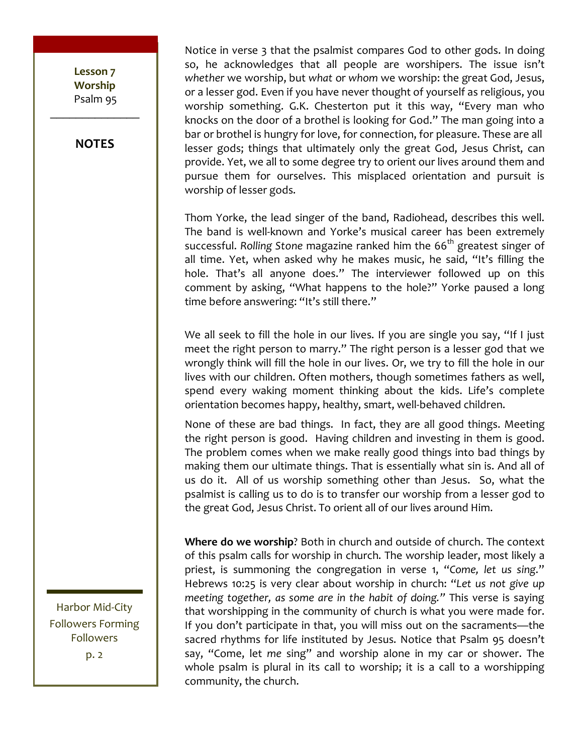Lesson<sub>7</sub> **Worship** Psalm 95  $\frac{1}{2}$ 

**NOTES**

Notice in verse 3 that the psalmist compares God to other gods. In doing so, he acknowledges that all people are worshipers. The issue isn't *whether* we worship, but what or whom we worship: the great God, Jesus, or a lesser god. Even if you have never thought of yourself as religious, you worship something. G.K. Chesterton put it this way, "Every man who knocks on the door of a brothel is looking for God." The man going into a bar or brothel is hungry for love, for connection, for pleasure. These are all lesser gods; things that ultimately only the great God, Jesus Christ, can provide. Yet, we all to some degree try to orient our lives around them and pursue them for ourselves. This misplaced orientation and pursuit is worship of lesser gods.

Thom Yorke, the lead singer of the band, Radiohead, describes this well. The band is well-known and Yorke's musical career has been extremely successful. Rolling Stone magazine ranked him the 66<sup>th</sup> greatest singer of all time. Yet, when asked why he makes music, he said, "It's filling the hole. That's all anyone does." The interviewer followed up on this comment by asking, "What happens to the hole?" Yorke paused a long time before answering: "It's still there."

We all seek to fill the hole in our lives. If you are single you say, "If I just meet the right person to marry." The right person is a lesser god that we wrongly think will fill the hole in our lives. Or, we try to fill the hole in our lives with our children. Often mothers, though sometimes fathers as well, spend every waking moment thinking about the kids. Life's complete orientation becomes happy, healthy, smart, well-behaved children.

None of these are bad things. In fact, they are all good things. Meeting the right person is good. Having children and investing in them is good. The problem comes when we make really good things into bad things by making them our ultimate things. That is essentially what sin is. And all of us do it. All of us worship something other than Jesus. So, what the psalmist is calling us to do is to transfer our worship from a lesser god to the great God, Jesus Christ. To orient all of our lives around Him.

Where do we worship? Both in church and outside of church. The context of this psalm calls for worship in church. The worship leader, most likely a priest, is summoning the congregation in verse 1, "Come, let us sing." Hebrews 10:25 is very clear about worship in church: "Let us not give up *meeting together, as some are in the habit of doing."* This verse is saying that worshipping in the community of church is what you were made for. If you don't participate in that, you will miss out on the sacraments—the sacred rhythms for life instituted by Jesus. Notice that Psalm 95 doesn't say, "Come, let me sing" and worship alone in my car or shower. The whole psalm is plural in its call to worship; it is a call to a worshipping community, the church.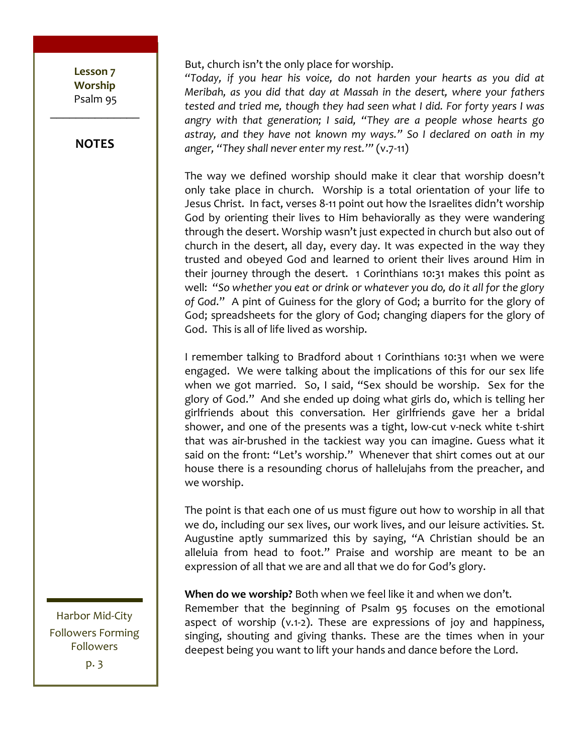Lesson<sub>7</sub> **Worship!** Psalm 95  $\frac{1}{2}$ 

**NOTES**

But, church isn't the only place for worship.

*"Today,' if' you' hear' his' voice,' do' not' harden' your' hearts' as' you' did' at' Meribah,' as' you' did' that' day' at' Massah' in' the' desert,' where' your' fathers'* tested and tried me, though they had seen what I did. For forty years I was *angry' with' that' generation;' I' said,' "They' are' a' people' whose' hearts' go' astray,' and' they' have' not' known' my' ways."' So' I' declared' on' oath' in' my'* anger, "They shall never enter my rest."" (v.7-11)

The way we defined worship should make it clear that worship doesn't only take place in church. Worship is a total orientation of your life to Jesus Christ. In fact, verses 8-11 point out how the Israelites didn't worship God by orienting their lives to Him behaviorally as they were wandering through the desert. Worship wasn't just expected in church but also out of church in the desert, all day, every day. It was expected in the way they trusted and obeyed God and learned to orient their lives around Him in their journey through the desert.  $\overline{1}$  Corinthians 10:31 makes this point as well: "So whether you eat or drink or whatever you do, do it all for the glory of God." A pint of Guiness for the glory of God; a burrito for the glory of God; spreadsheets for the glory of God; changing diapers for the glory of God. This is all of life lived as worship.

I remember talking to Bradford about 1 Corinthians 10:31 when we were engaged. We were talking about the implications of this for our sex life when we got married. So, I said, "Sex should be worship. Sex for the glory of God." And she ended up doing what girls do, which is telling her girlfriends about this conversation. Her girlfriends gave her a bridal shower, and one of the presents was a tight, low-cut v-neck white t-shirt that was air-brushed in the tackiest way you can imagine. Guess what it said on the front: "Let's worship." Whenever that shirt comes out at our house there is a resounding chorus of hallelujahs from the preacher, and we worship.

The point is that each one of us must figure out how to worship in all that we do, including our sex lives, our work lives, and our leisure activities. St. Augustine aptly summarized this by saying, "A Christian should be an alleluia from head to foot." Praise and worship are meant to be an expression of all that we are and all that we do for God's glory.

**When do we worship?** Both when we feel like it and when we don't. Remember that the beginning of Psalm 95 focuses on the emotional aspect of worship (v.1-2). These are expressions of joy and happiness, singing, shouting and giving thanks. These are the times when in your deepest being you want to lift your hands and dance before the Lord.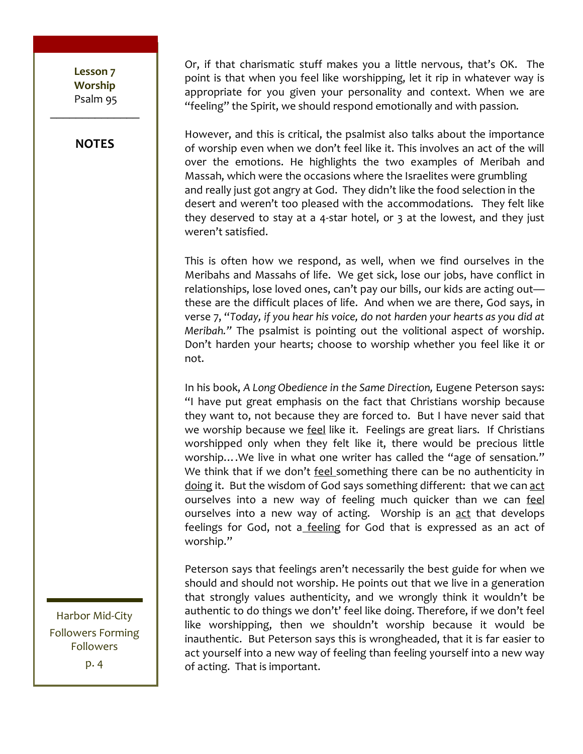Lesson<sub>7</sub> **Worship!** Psalm 95  $\frac{1}{2}$ 

**NOTES**

Or, if that charismatic stuff makes you a little nervous, that's OK. The point is that when you feel like worshipping, let it rip in whatever way is appropriate for you given your personality and context. When we are "feeling" the Spirit, we should respond emotionally and with passion.

However, and this is critical, the psalmist also talks about the importance of worship even when we don't feel like it. This involves an act of the will over the emotions. He highlights the two examples of Meribah and Massah, which were the occasions where the Israelites were grumbling and really just got angry at God. They didn't like the food selection in the desert and weren't too pleased with the accommodations. They felt like they deserved to stay at a 4-star hotel, or  $3$  at the lowest, and they just weren't satisfied.

This is often how we respond, as well, when we find ourselves in the Meribahs and Massahs of life. We get sick, lose our jobs, have conflict in relationships, lose loved ones, can't pay our bills, our kids are acting out these are the difficult places of life. And when we are there, God says, in verse 7, "Today, if you hear his voice, do not harden your hearts as you did at *Meribah.*" The psalmist is pointing out the volitional aspect of worship. Don't harden your hearts; choose to worship whether you feel like it or not.

In his book, A Long Obedience in the Same Direction, Eugene Peterson says: "I have put great emphasis on the fact that Christians worship because they want to, not because they are forced to. But I have never said that we worship because we feel like it. Feelings are great liars. If Christians worshipped only when they felt like it, there would be precious little worship.... We live in what one writer has called the "age of sensation." We think that if we don't feel something there can be no authenticity in doing it. But the wisdom of God says something different: that we can act ourselves into a new way of feeling much quicker than we can feel ourselves into a new way of acting. Worship is an act that develops feelings for God, not a feeling for God that is expressed as an act of worship."

Peterson says that feelings aren't necessarily the best guide for when we should and should not worship. He points out that we live in a generation that strongly values authenticity, and we wrongly think it wouldn't be authentic to do things we don't' feel like doing. Therefore, if we don't feel like worshipping, then we shouldn't worship because it would be inauthentic. But Peterson says this is wrongheaded, that it is far easier to act yourself into a new way of feeling than feeling yourself into a new way of acting. That is important.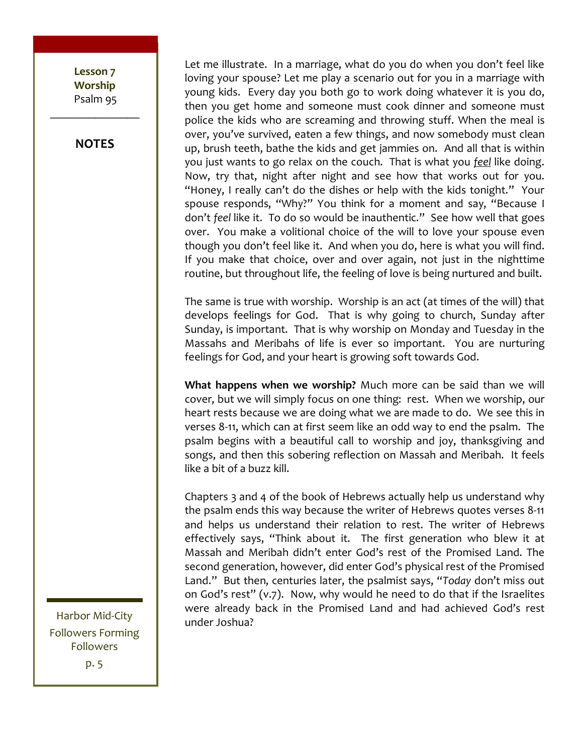Lesson<sub>7</sub> **Worship** Psalm 95  $\frac{1}{2}$ 

**NOTES**

Let me illustrate. In a marriage, what do you do when you don't feel like loving your spouse? Let me play a scenario out for you in a marriage with young kids. Every day you both go to work doing whatever it is you do, then you get home and someone must cook dinner and someone must police the kids who are screaming and throwing stuff. When the meal is over, you've survived, eaten a few things, and now somebody must clean up, brush teeth, bathe the kids and get jammies on. And all that is within you just wants to go relax on the couch. That is what you *feel* like doing. Now, try that, night after night and see how that works out for you. "Honey, I really can't do the dishes or help with the kids tonight." Your spouse responds, "Why?" You think for a moment and say, "Because I don't feel like it. To do so would be inauthentic." See how well that goes over. You make a volitional choice of the will to love your spouse even though you don't feel like it. And when you do, here is what you will find. If you make that choice, over and over again, not just in the nighttime routine, but throughout life, the feeling of love is being nurtured and built.

The same is true with worship. Worship is an act (at times of the will) that develops feelings for God. That is why going to church, Sunday after Sunday, is important. That is why worship on Monday and Tuesday in the Massahs and Meribahs of life is ever so important. You are nurturing feelings for God, and your heart is growing soft towards God.

**What happens when we worship?** Much more can be said than we will cover, but we will simply focus on one thing: rest. When we worship, our heart rests because we are doing what we are made to do. We see this in verses 8-11, which can at first seem like an odd way to end the psalm. The psalm begins with a beautiful call to worship and joy, thanksgiving and songs, and then this sobering reflection on Massah and Meribah. It feels like a bit of a buzz kill.

Chapters  $3$  and  $4$  of the book of Hebrews actually help us understand why the psalm ends this way because the writer of Hebrews quotes verses 8-11 and helps us understand their relation to rest. The writer of Hebrews effectively says, "Think about it. The first generation who blew it at Massah and Meribah didn't enter God's rest of the Promised Land. The second generation, however, did enter God's physical rest of the Promised Land." But then, centuries later, the psalmist says, "Today don't miss out on God's rest" (v.7). Now, why would he need to do that if the Israelites were already back in the Promised Land and had achieved God's rest under Joshua?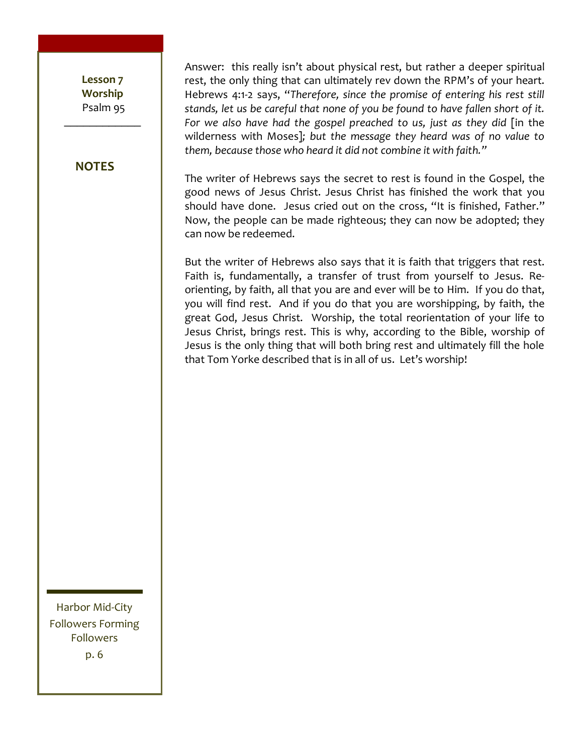Lesson<sub>7</sub> **Worship** Psalm 95

 $\frac{1}{2}$ 

#### **NOTES**

Answer: this really isn't about physical rest, but rather a deeper spiritual rest, the only thing that can ultimately rev down the RPM's of your heart. Hebrews 4:1-2 says, "Therefore, since the promise of entering his rest still stands, let us be careful that none of you be found to have fallen short of it. For we also have had the gospel preached to us, just as they did [in the wilderness with Moses]; but the message they heard was of no value to them, because those who heard it did not combine it with faith."

The writer of Hebrews says the secret to rest is found in the Gospel, the good news of Jesus Christ. Jesus Christ has finished the work that you should have done. Jesus cried out on the cross, "It is finished, Father." Now, the people can be made righteous; they can now be adopted; they can now be redeemed.

But the writer of Hebrews also says that it is faith that triggers that rest. Faith is, fundamentally, a transfer of trust from yourself to Jesus. Reorienting, by faith, all that you are and ever will be to Him. If you do that, you will find rest. And if you do that you are worshipping, by faith, the great God, Jesus Christ. Worship, the total reorientation of your life to Jesus Christ, brings rest. This is why, according to the Bible, worship of Jesus is the only thing that will both bring rest and ultimately fill the hole that Tom Yorke described that is in all of us. Let's worship!